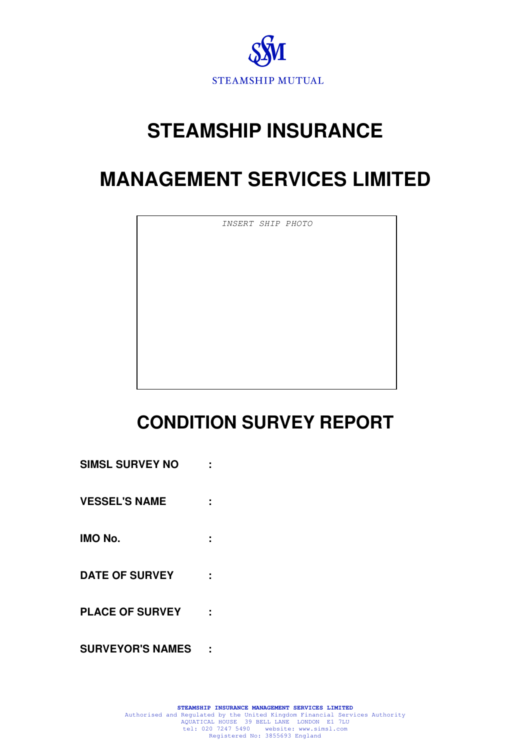

# **STEAMSHIP INSURANCE**

# **MANAGEMENT SERVICES LIMITED**

INSERT SHIP PHOTO

# **CONDITION SURVEY REPORT**

| <b>SIMSL SURVEY NO</b>  |  |
|-------------------------|--|
| <b>VESSEL'S NAME</b>    |  |
| <b>IMO No.</b>          |  |
| <b>DATE OF SURVEY</b>   |  |
| <b>PLACE OF SURVEY</b>  |  |
| <b>SURVEYOR'S NAMES</b> |  |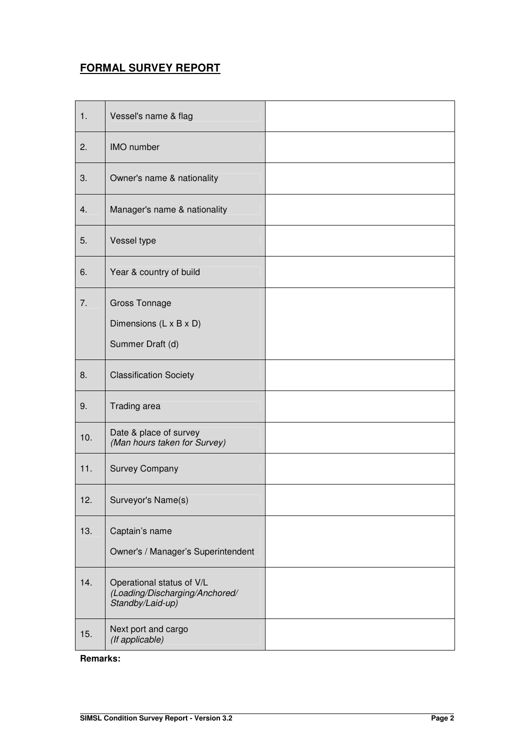## **FORMAL SURVEY REPORT**

| 1.  | Vessel's name & flag                                                            |  |
|-----|---------------------------------------------------------------------------------|--|
| 2.  | <b>IMO</b> number                                                               |  |
| 3.  | Owner's name & nationality                                                      |  |
| 4.  | Manager's name & nationality                                                    |  |
| 5.  | Vessel type                                                                     |  |
| 6.  | Year & country of build                                                         |  |
| 7.  | <b>Gross Tonnage</b><br>Dimensions (L x B x D)<br>Summer Draft (d)              |  |
| 8.  | <b>Classification Society</b>                                                   |  |
| 9.  | Trading area                                                                    |  |
| 10. | Date & place of survey<br>(Man hours taken for Survey)                          |  |
| 11. | <b>Survey Company</b>                                                           |  |
| 12. | Surveyor's Name(s)                                                              |  |
| 13. | Captain's name<br>Owner's / Manager's Superintendent                            |  |
| 14. | Operational status of V/L<br>(Loading/Discharging/Anchored/<br>Standby/Laid-up) |  |
| 15. | Next port and cargo<br>(If applicable)                                          |  |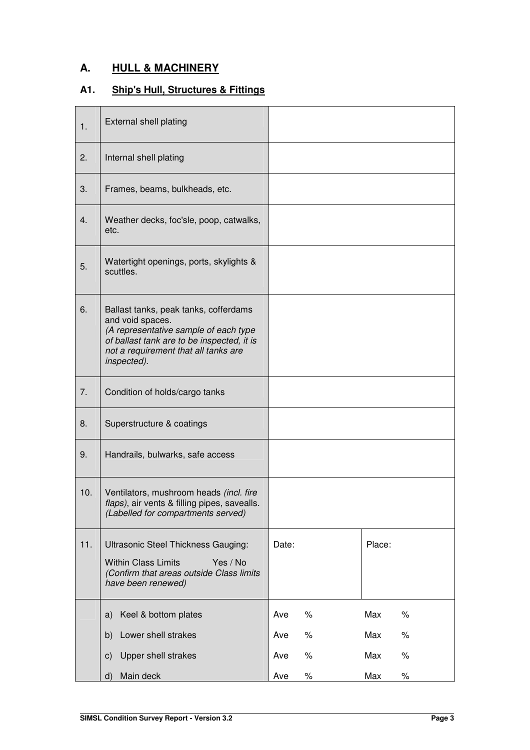## **A. HULL & MACHINERY**

## **A1. Ship's Hull, Structures & Fittings**

| 1.  | <b>External shell plating</b>                                                                                                                                                                           |             |             |
|-----|---------------------------------------------------------------------------------------------------------------------------------------------------------------------------------------------------------|-------------|-------------|
| 2.  | Internal shell plating                                                                                                                                                                                  |             |             |
| 3.  | Frames, beams, bulkheads, etc.                                                                                                                                                                          |             |             |
| 4.  | Weather decks, foc'sle, poop, catwalks,<br>etc.                                                                                                                                                         |             |             |
| 5.  | Watertight openings, ports, skylights &<br>scuttles.                                                                                                                                                    |             |             |
| 6.  | Ballast tanks, peak tanks, cofferdams<br>and void spaces.<br>(A representative sample of each type<br>of ballast tank are to be inspected, it is<br>not a requirement that all tanks are<br>inspected). |             |             |
| 7.  | Condition of holds/cargo tanks                                                                                                                                                                          |             |             |
| 8.  | Superstructure & coatings                                                                                                                                                                               |             |             |
| 9.  | Handrails, bulwarks, safe access                                                                                                                                                                        |             |             |
| 10. | Ventilators, mushroom heads (incl. fire<br>flaps), air vents & filling pipes, savealls.<br>(Labelled for compartments served)                                                                           |             |             |
| 11. | Ultrasonic Steel Thickness Gauging:<br><b>Within Class Limits</b><br>Yes / No<br>(Confirm that areas outside Class limits<br>have been renewed)                                                         | Date:       | Place:      |
|     | Keel & bottom plates<br>a)                                                                                                                                                                              | Ave<br>%    | Max<br>$\%$ |
|     | Lower shell strakes<br>b)                                                                                                                                                                               | $\%$<br>Ave | Max<br>$\%$ |
|     | Upper shell strakes<br>$\mathsf{c})$                                                                                                                                                                    | $\%$<br>Ave | Max<br>$\%$ |
|     | Main deck<br>d)                                                                                                                                                                                         | Ave<br>℅    | $\%$<br>Max |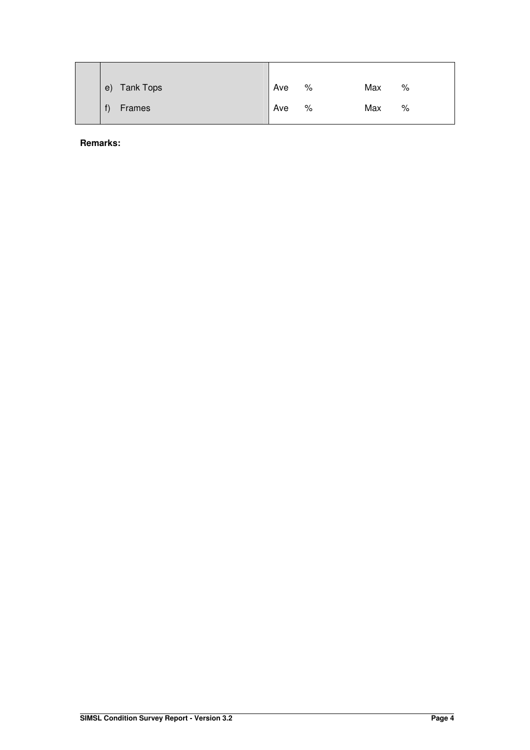| <b>Tank Tops</b><br>e) | Ave | % | Max | % |
|------------------------|-----|---|-----|---|
| Frames                 | Ave | % | Max | % |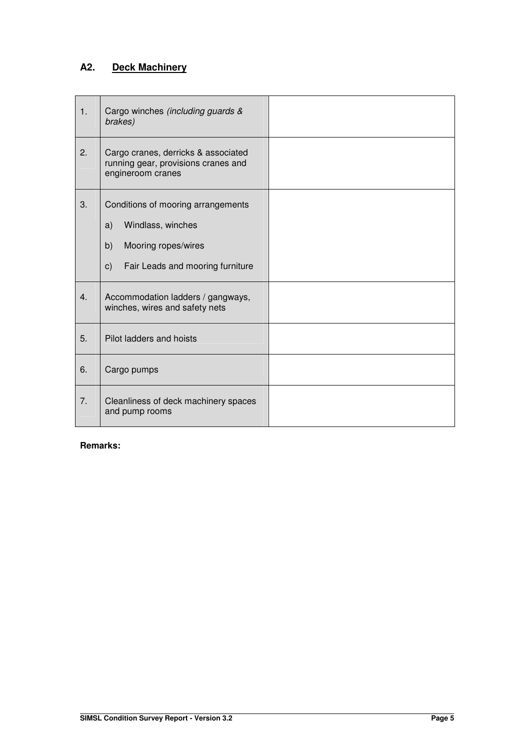## **A2. Deck Machinery**

| 1.             | Cargo winches (including guards &<br>brakes)                                                                                                    |  |
|----------------|-------------------------------------------------------------------------------------------------------------------------------------------------|--|
| 2.             | Cargo cranes, derricks & associated<br>running gear, provisions cranes and<br>engineroom cranes                                                 |  |
| 3.             | Conditions of mooring arrangements<br>Windlass, winches<br>a)<br>b)<br>Mooring ropes/wires<br>Fair Leads and mooring furniture<br>$\mathsf{c})$ |  |
| 4.             | Accommodation ladders / gangways,<br>winches, wires and safety nets                                                                             |  |
| 5.             | Pilot ladders and hoists                                                                                                                        |  |
| 6.             | Cargo pumps                                                                                                                                     |  |
| 7 <sub>1</sub> | Cleanliness of deck machinery spaces<br>and pump rooms                                                                                          |  |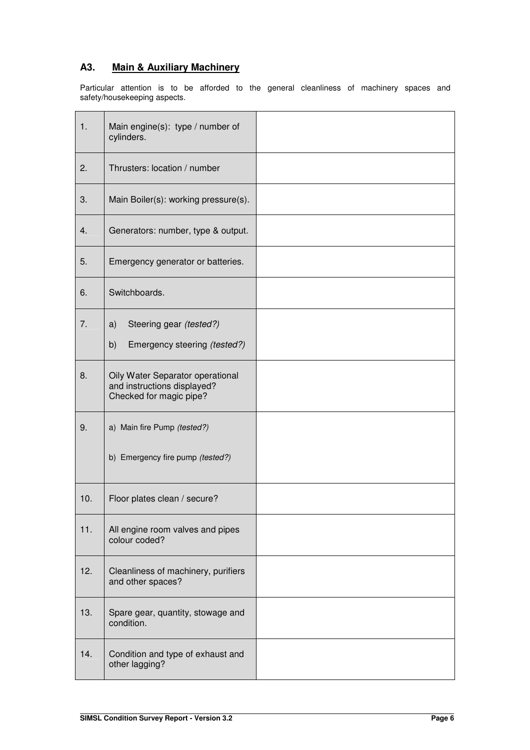## **A3. Main & Auxiliary Machinery**

Particular attention is to be afforded to the general cleanliness of machinery spaces and safety/housekeeping aspects.

| 1.  | Main engine(s): type / number of<br>cylinders.                                             |  |
|-----|--------------------------------------------------------------------------------------------|--|
| 2.  | Thrusters: location / number                                                               |  |
| 3.  | Main Boiler(s): working pressure(s).                                                       |  |
| 4.  | Generators: number, type & output.                                                         |  |
| 5.  | Emergency generator or batteries.                                                          |  |
| 6.  | Switchboards.                                                                              |  |
| 7.  | Steering gear (tested?)<br>a)<br>b)<br>Emergency steering (tested?)                        |  |
| 8.  | Oily Water Separator operational<br>and instructions displayed?<br>Checked for magic pipe? |  |
| 9.  | a) Main fire Pump (tested?)                                                                |  |
|     | b) Emergency fire pump (tested?)                                                           |  |
| 10. | Floor plates clean / secure?                                                               |  |
| 11. | All engine room valves and pipes<br>colour coded?                                          |  |
| 12. | Cleanliness of machinery, purifiers<br>and other spaces?                                   |  |
| 13. | Spare gear, quantity, stowage and<br>condition.                                            |  |
| 14. | Condition and type of exhaust and<br>other lagging?                                        |  |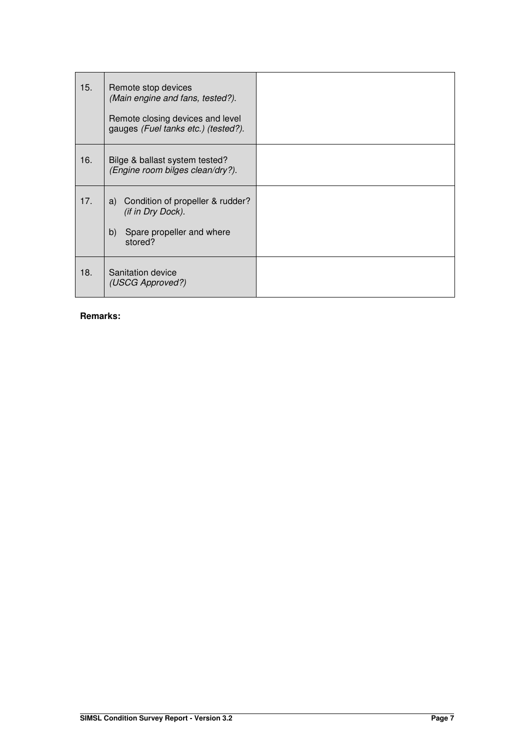| 15. | Remote stop devices<br>(Main engine and fans, tested?).<br>Remote closing devices and level<br>gauges (Fuel tanks etc.) (tested?). |  |
|-----|------------------------------------------------------------------------------------------------------------------------------------|--|
| 16. | Bilge & ballast system tested?<br>(Engine room bilges clean/dry?).                                                                 |  |
| 17. | a) Condition of propeller & rudder?<br>(if in Dry Dock).<br>Spare propeller and where<br>b)<br>stored?                             |  |
| 18. | Sanitation device<br>(USCG Approved?)                                                                                              |  |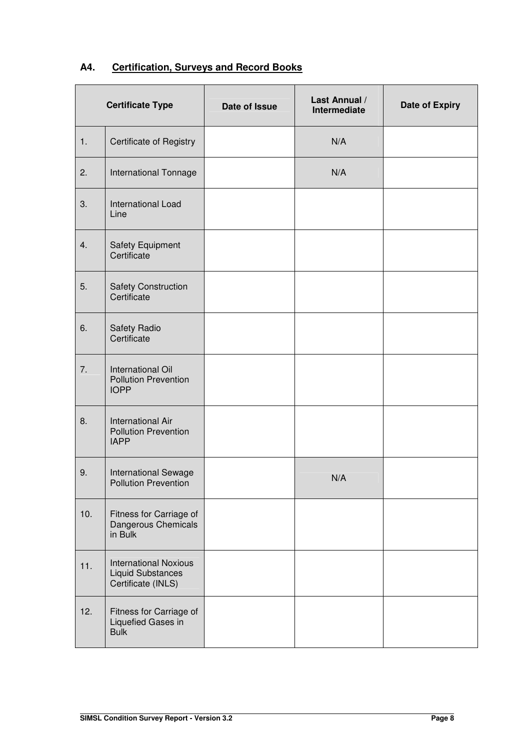| A4. | <b>Certification, Surveys and Record Books</b> |  |  |
|-----|------------------------------------------------|--|--|
|     |                                                |  |  |

|     | <b>Certificate Type</b>                                                        | Date of Issue | Last Annual /<br>Intermediate | Date of Expiry |
|-----|--------------------------------------------------------------------------------|---------------|-------------------------------|----------------|
| 1.  | Certificate of Registry                                                        |               | N/A                           |                |
| 2.  | International Tonnage                                                          |               | N/A                           |                |
| 3.  | International Load<br>Line                                                     |               |                               |                |
| 4.  | Safety Equipment<br>Certificate                                                |               |                               |                |
| 5.  | <b>Safety Construction</b><br>Certificate                                      |               |                               |                |
| 6.  | Safety Radio<br>Certificate                                                    |               |                               |                |
| 7.  | International Oil<br><b>Pollution Prevention</b><br><b>IOPP</b>                |               |                               |                |
| 8.  | <b>International Air</b><br><b>Pollution Prevention</b><br><b>IAPP</b>         |               |                               |                |
| 9.  | International Sewage<br><b>Pollution Prevention</b>                            |               | N/A                           |                |
| 10. | Fitness for Carriage of<br>Dangerous Chemicals<br>in Bulk                      |               |                               |                |
| 11. | <b>International Noxious</b><br><b>Liquid Substances</b><br>Certificate (INLS) |               |                               |                |
| 12. | Fitness for Carriage of<br>Liquefied Gases in<br><b>Bulk</b>                   |               |                               |                |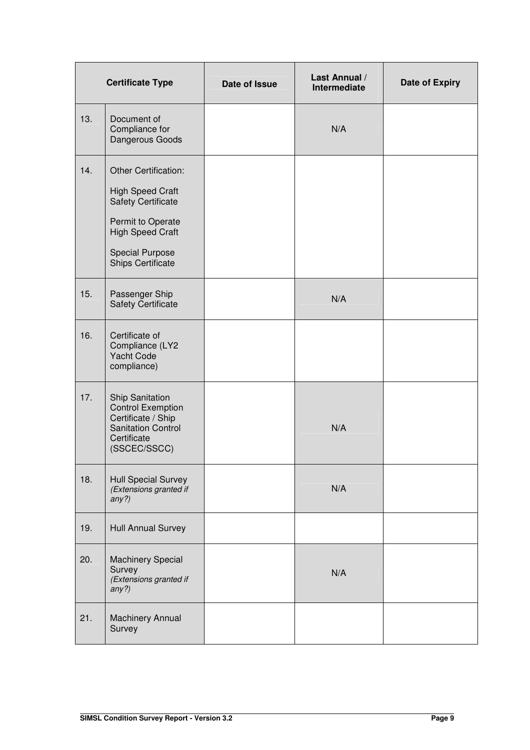|     | <b>Certificate Type</b>                                                                                                                                                     | Date of Issue | Last Annual /<br>Intermediate | Date of Expiry |
|-----|-----------------------------------------------------------------------------------------------------------------------------------------------------------------------------|---------------|-------------------------------|----------------|
| 13. | Document of<br>Compliance for<br>Dangerous Goods                                                                                                                            |               | N/A                           |                |
| 14. | Other Certification:<br><b>High Speed Craft</b><br><b>Safety Certificate</b><br>Permit to Operate<br><b>High Speed Craft</b><br><b>Special Purpose</b><br>Ships Certificate |               |                               |                |
| 15. | Passenger Ship<br><b>Safety Certificate</b>                                                                                                                                 |               | N/A                           |                |
| 16. | Certificate of<br>Compliance (LY2<br><b>Yacht Code</b><br>compliance)                                                                                                       |               |                               |                |
| 17. | <b>Ship Sanitation</b><br><b>Control Exemption</b><br>Certificate / Ship<br><b>Sanitation Control</b><br>Certificate<br>(SSCEC/SSCC)                                        |               | N/A                           |                |
| 18. | <b>Hull Special Survey</b><br>(Extensions granted if<br>any?)                                                                                                               |               | N/A                           |                |
| 19. | <b>Hull Annual Survey</b>                                                                                                                                                   |               |                               |                |
| 20. | <b>Machinery Special</b><br>Survey<br>(Extensions granted if<br>any?)                                                                                                       |               | N/A                           |                |
| 21. | Machinery Annual<br>Survey                                                                                                                                                  |               |                               |                |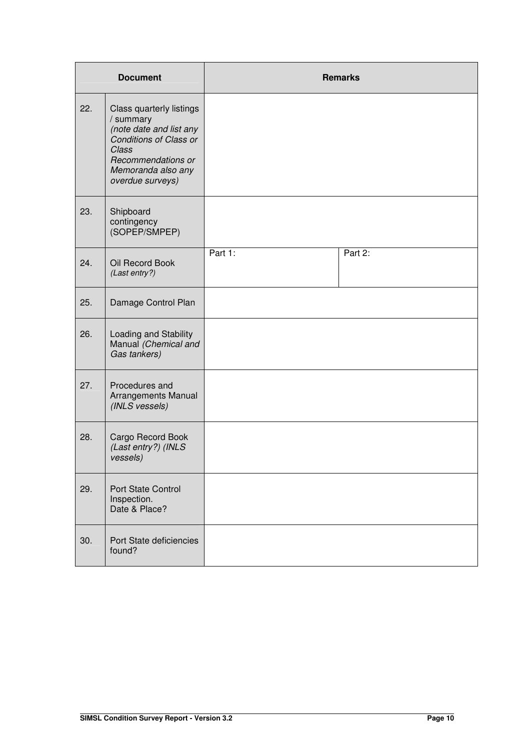|     | <b>Document</b>                                                                                                                                                     |         | <b>Remarks</b> |
|-----|---------------------------------------------------------------------------------------------------------------------------------------------------------------------|---------|----------------|
| 22. | Class quarterly listings<br>/ summary<br>(note date and list any<br>Conditions of Class or<br>Class<br>Recommendations or<br>Memoranda also any<br>overdue surveys) |         |                |
| 23. | Shipboard<br>contingency<br>(SOPEP/SMPEP)                                                                                                                           |         |                |
| 24. | Oil Record Book<br>(Last entry?)                                                                                                                                    | Part 1: | Part 2:        |
| 25. | Damage Control Plan                                                                                                                                                 |         |                |
| 26. | Loading and Stability<br>Manual (Chemical and<br>Gas tankers)                                                                                                       |         |                |
| 27. | Procedures and<br>Arrangements Manual<br>(INLS vessels)                                                                                                             |         |                |
| 28. | Cargo Record Book<br>(Last entry?) (INLS<br>vessels)                                                                                                                |         |                |
| 29. | Port State Control<br>Inspection.<br>Date & Place?                                                                                                                  |         |                |
| 30. | Port State deficiencies<br>found?                                                                                                                                   |         |                |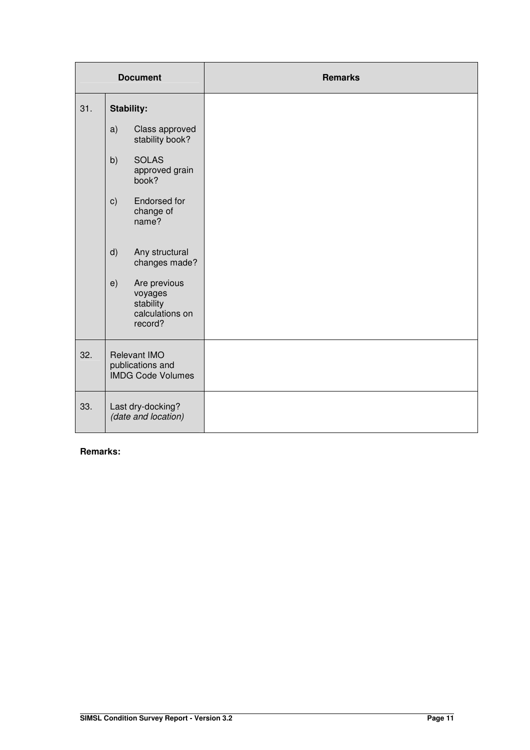|     |    | <b>Document</b>                                                    | <b>Remarks</b> |
|-----|----|--------------------------------------------------------------------|----------------|
| 31. |    | <b>Stability:</b>                                                  |                |
|     | a) | Class approved<br>stability book?                                  |                |
|     | b) | <b>SOLAS</b><br>approved grain<br>book?                            |                |
|     | c) | Endorsed for<br>change of<br>name?                                 |                |
|     | d) | Any structural<br>changes made?                                    |                |
|     | e) | Are previous<br>voyages<br>stability<br>calculations on<br>record? |                |
| 32. |    | Relevant IMO<br>publications and<br><b>IMDG Code Volumes</b>       |                |
| 33. |    | Last dry-docking?<br>(date and location)                           |                |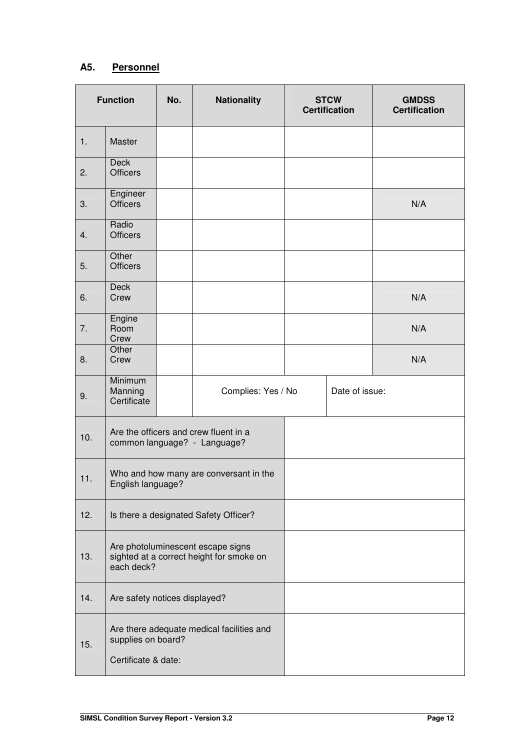## **A5. Personnel**

| <b>Function</b> |                                           | No. | <b>Nationality</b>                                                            | <b>STCW</b><br><b>Certification</b> | <b>GMDSS</b><br><b>Certification</b> |
|-----------------|-------------------------------------------|-----|-------------------------------------------------------------------------------|-------------------------------------|--------------------------------------|
| 1.              | Master                                    |     |                                                                               |                                     |                                      |
| 2.              | <b>Deck</b><br><b>Officers</b>            |     |                                                                               |                                     |                                      |
| 3.              | Engineer<br><b>Officers</b>               |     |                                                                               |                                     | N/A                                  |
| 4.              | Radio<br><b>Officers</b>                  |     |                                                                               |                                     |                                      |
| 5.              | Other<br><b>Officers</b>                  |     |                                                                               |                                     |                                      |
| 6.              | <b>Deck</b><br>Crew                       |     |                                                                               |                                     | N/A                                  |
| 7.              | Engine<br>Room<br>Crew                    |     |                                                                               |                                     | N/A                                  |
| 8.              | Other<br>Crew                             |     |                                                                               |                                     | N/A                                  |
| 9.              | Minimum<br>Manning<br>Certificate         |     | Complies: Yes / No                                                            | Date of issue:                      |                                      |
| 10.             |                                           |     | Are the officers and crew fluent in a<br>common language? - Language?         |                                     |                                      |
| 11.             | English language?                         |     | Who and how many are conversant in the                                        |                                     |                                      |
| 12.             |                                           |     | Is there a designated Safety Officer?                                         |                                     |                                      |
| 13.             | each deck?                                |     | Are photoluminescent escape signs<br>sighted at a correct height for smoke on |                                     |                                      |
| 14.             | Are safety notices displayed?             |     |                                                                               |                                     |                                      |
| 15.             | supplies on board?<br>Certificate & date: |     | Are there adequate medical facilities and                                     |                                     |                                      |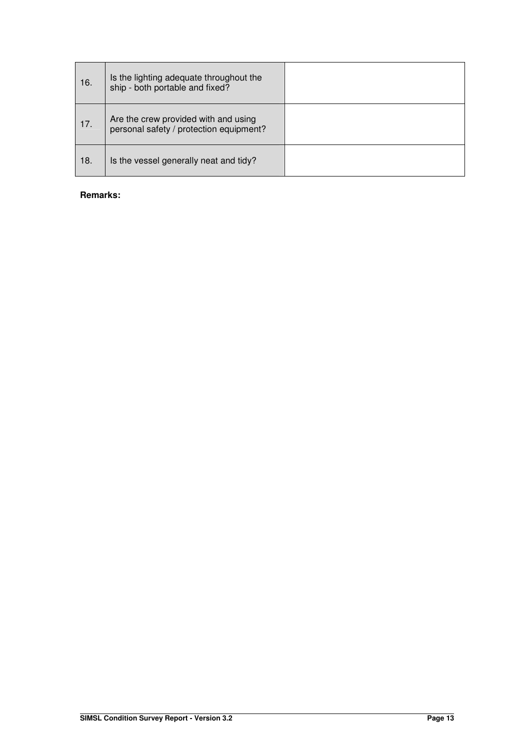| 16. | Is the lighting adequate throughout the<br>ship - both portable and fixed?      |  |
|-----|---------------------------------------------------------------------------------|--|
| 17. | Are the crew provided with and using<br>personal safety / protection equipment? |  |
| 18. | Is the vessel generally neat and tidy?                                          |  |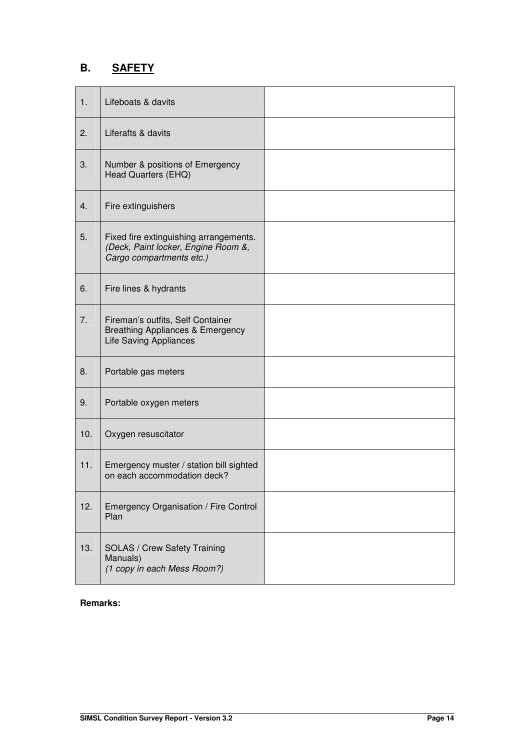## **B. SAFETY**

| 1.  | Lifeboats & davits                                                                                                |  |
|-----|-------------------------------------------------------------------------------------------------------------------|--|
| 2.  | Liferafts & davits                                                                                                |  |
| 3.  | Number & positions of Emergency<br>Head Quarters (EHQ)                                                            |  |
| 4.  | Fire extinguishers                                                                                                |  |
| 5.  | Fixed fire extinguishing arrangements.<br>(Deck, Paint locker, Engine Room &,<br>Cargo compartments etc.)         |  |
| 6.  | Fire lines & hydrants                                                                                             |  |
| 7.  | Fireman's outfits, Self Container<br><b>Breathing Appliances &amp; Emergency</b><br><b>Life Saving Appliances</b> |  |
| 8.  | Portable gas meters                                                                                               |  |
| 9.  | Portable oxygen meters                                                                                            |  |
| 10. | Oxygen resuscitator                                                                                               |  |
| 11. | Emergency muster / station bill sighted<br>on each accommodation deck?                                            |  |
| 12. | Emergency Organisation / Fire Control<br>Plan                                                                     |  |
| 13. | <b>SOLAS / Crew Safety Training</b><br>Manuals)<br>(1 copy in each Mess Room?)                                    |  |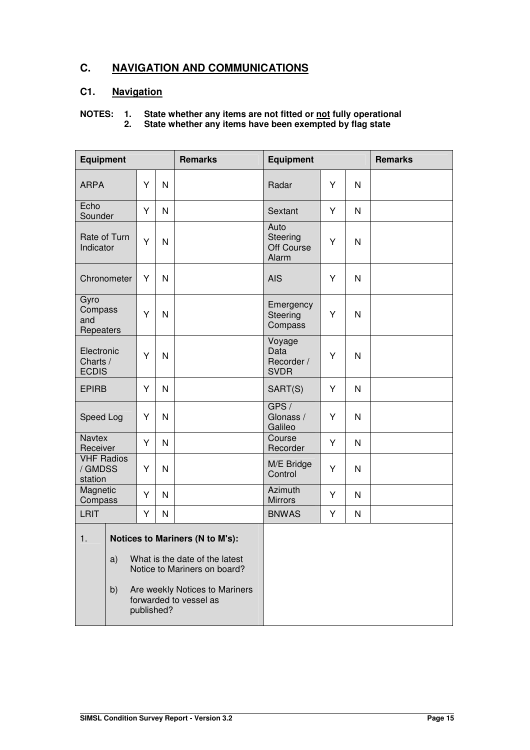## **C. NAVIGATION AND COMMUNICATIONS**

## **C1. Navigation**

## **NOTES: 1. State whether any items are not fitted or not fully operational**

**2. State whether any items have been exempted by flag state**

| <b>Equipment</b>                        |                                                                      |   |            | <b>Remarks</b>                                           | <b>Equipment</b>                            |   |              | <b>Remarks</b> |
|-----------------------------------------|----------------------------------------------------------------------|---|------------|----------------------------------------------------------|---------------------------------------------|---|--------------|----------------|
| <b>ARPA</b>                             |                                                                      | Y | N          |                                                          | Radar                                       | Y | $\mathsf{N}$ |                |
| Echo<br>Sounder                         |                                                                      | Y | N          |                                                          | Sextant                                     | Y | N            |                |
| Rate of Turn<br>Indicator               |                                                                      | Y | N          |                                                          | Auto<br>Steering<br>Off Course<br>Alarm     | Y | N            |                |
| Chronometer                             |                                                                      | Y | N          |                                                          | <b>AIS</b>                                  | Y | N            |                |
| Gyro<br>Compass<br>and<br>Repeaters     |                                                                      | Y | N          |                                                          | Emergency<br>Steering<br>Compass            | Y | N            |                |
| Electronic<br>Charts /<br><b>ECDIS</b>  |                                                                      | Y | N          |                                                          | Voyage<br>Data<br>Recorder /<br><b>SVDR</b> | Y | N            |                |
| <b>EPIRB</b>                            |                                                                      | Y | N          |                                                          | SART(S)                                     | Y | N            |                |
| Speed Log                               |                                                                      | Y | N          |                                                          | GPS/<br>Glonass /<br>Galileo                | Y | N            |                |
| <b>Navtex</b><br>Receiver               |                                                                      | Y | N          |                                                          | Course<br>Recorder                          | Y | N            |                |
| <b>VHF Radios</b><br>/ GMDSS<br>station |                                                                      | Y | N          |                                                          | M/E Bridge<br>Control                       | Y | $\mathsf{N}$ |                |
| Magnetic<br>Compass                     |                                                                      | Υ | N          |                                                          | Azimuth<br><b>Mirrors</b>                   | Y | N            |                |
| <b>LRIT</b>                             |                                                                      | Υ | N          |                                                          | <b>BNWAS</b>                                | Y | $\mathsf{N}$ |                |
| Notices to Mariners (N to M's):<br>1.   |                                                                      |   |            |                                                          |                                             |   |              |                |
|                                         | What is the date of the latest<br>a)<br>Notice to Mariners on board? |   |            |                                                          |                                             |   |              |                |
| b)                                      |                                                                      |   | published? | Are weekly Notices to Mariners<br>forwarded to vessel as |                                             |   |              |                |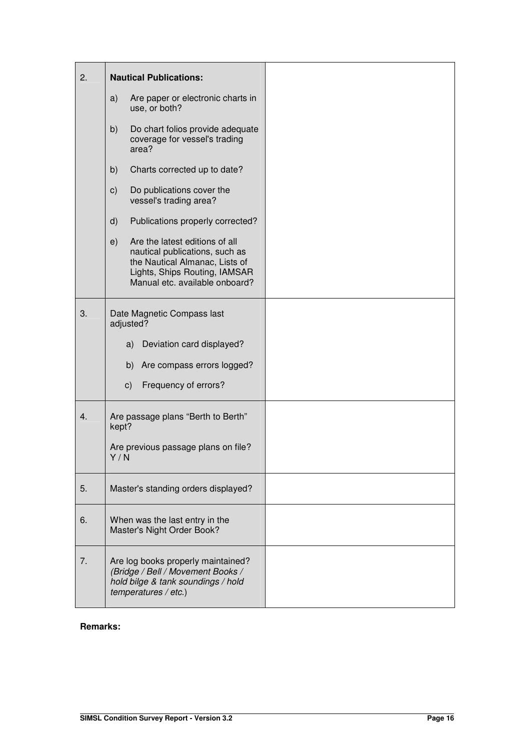| 2. | <b>Nautical Publications:</b>                                                                                                                                               |  |
|----|-----------------------------------------------------------------------------------------------------------------------------------------------------------------------------|--|
|    | Are paper or electronic charts in<br>a)<br>use, or both?                                                                                                                    |  |
|    | b)<br>Do chart folios provide adequate<br>coverage for vessel's trading<br>area?                                                                                            |  |
|    | b)<br>Charts corrected up to date?                                                                                                                                          |  |
|    | c)<br>Do publications cover the<br>vessel's trading area?                                                                                                                   |  |
|    | d)<br>Publications properly corrected?                                                                                                                                      |  |
|    | Are the latest editions of all<br>e)<br>nautical publications, such as<br>the Nautical Almanac, Lists of<br>Lights, Ships Routing, IAMSAR<br>Manual etc. available onboard? |  |
| 3. | Date Magnetic Compass last<br>adjusted?                                                                                                                                     |  |
|    | Deviation card displayed?<br>a)                                                                                                                                             |  |
|    | b)<br>Are compass errors logged?                                                                                                                                            |  |
|    | c)<br>Frequency of errors?                                                                                                                                                  |  |
| 4. | Are passage plans "Berth to Berth"<br>kept?                                                                                                                                 |  |
|    | Are previous passage plans on file?<br>Y/N                                                                                                                                  |  |
| 5. | Master's standing orders displayed?                                                                                                                                         |  |
| 6. | When was the last entry in the<br>Master's Night Order Book?                                                                                                                |  |
| 7. | Are log books properly maintained?<br>(Bridge / Bell / Movement Books /<br>hold bilge & tank soundings / hold<br>temperatures / etc.)                                       |  |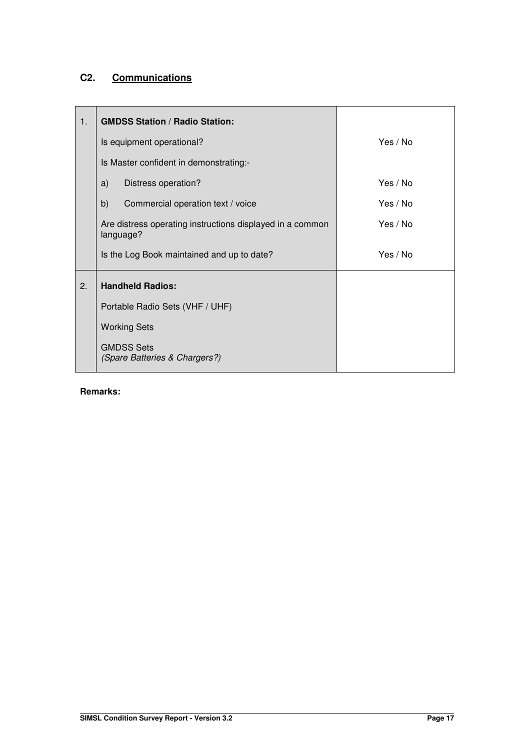## **C2. Communications**

| 1. | <b>GMDSS Station / Radio Station:</b>                                  |          |  |  |  |
|----|------------------------------------------------------------------------|----------|--|--|--|
|    | Is equipment operational?                                              | Yes / No |  |  |  |
|    | Is Master confident in demonstrating:-                                 |          |  |  |  |
|    | Distress operation?<br>a)                                              | Yes / No |  |  |  |
|    | b)<br>Commercial operation text / voice                                | Yes / No |  |  |  |
|    | Are distress operating instructions displayed in a common<br>language? | Yes / No |  |  |  |
|    | Is the Log Book maintained and up to date?                             | Yes / No |  |  |  |
| 2. | <b>Handheld Radios:</b>                                                |          |  |  |  |
|    | Portable Radio Sets (VHF / UHF)                                        |          |  |  |  |
|    | <b>Working Sets</b>                                                    |          |  |  |  |
|    | <b>GMDSS Sets</b><br>(Spare Batteries & Chargers?)                     |          |  |  |  |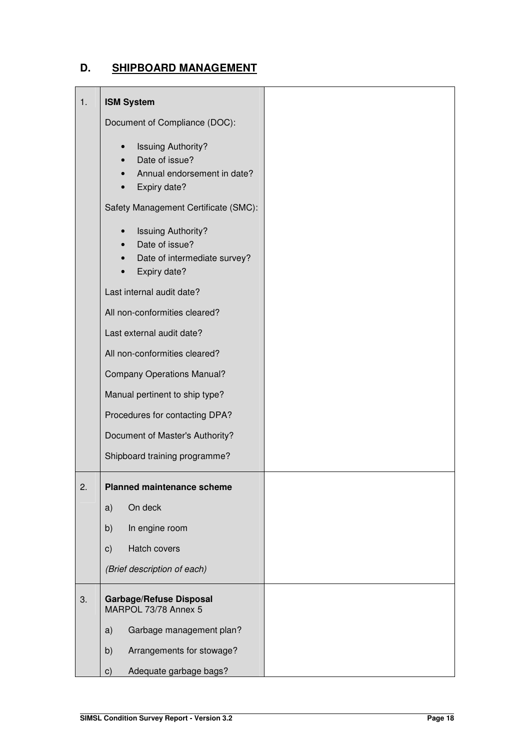## **D. SHIPBOARD MANAGEMENT**

| 1. | <b>ISM System</b>                                                                                                     |  |
|----|-----------------------------------------------------------------------------------------------------------------------|--|
|    | Document of Compliance (DOC):                                                                                         |  |
|    | <b>Issuing Authority?</b><br>$\bullet$<br>Date of issue?<br>Annual endorsement in date?<br>Expiry date?               |  |
|    | Safety Management Certificate (SMC):                                                                                  |  |
|    | <b>Issuing Authority?</b><br>$\bullet$<br>Date of issue?<br>Date of intermediate survey?<br>$\bullet$<br>Expiry date? |  |
|    | Last internal audit date?                                                                                             |  |
|    | All non-conformities cleared?                                                                                         |  |
|    | Last external audit date?                                                                                             |  |
|    | All non-conformities cleared?                                                                                         |  |
|    | <b>Company Operations Manual?</b>                                                                                     |  |
|    | Manual pertinent to ship type?                                                                                        |  |
|    | Procedures for contacting DPA?                                                                                        |  |
|    | Document of Master's Authority?                                                                                       |  |
|    | Shipboard training programme?                                                                                         |  |
| 2. | <b>Planned maintenance scheme</b>                                                                                     |  |
|    | On deck<br>a)                                                                                                         |  |
|    | b)<br>In engine room                                                                                                  |  |
|    | Hatch covers<br>c)                                                                                                    |  |
|    | (Brief description of each)                                                                                           |  |
| 3. | <b>Garbage/Refuse Disposal</b><br>MARPOL 73/78 Annex 5                                                                |  |
|    | a)<br>Garbage management plan?                                                                                        |  |
|    | Arrangements for stowage?<br>b)                                                                                       |  |
|    | Adequate garbage bags?<br>c)                                                                                          |  |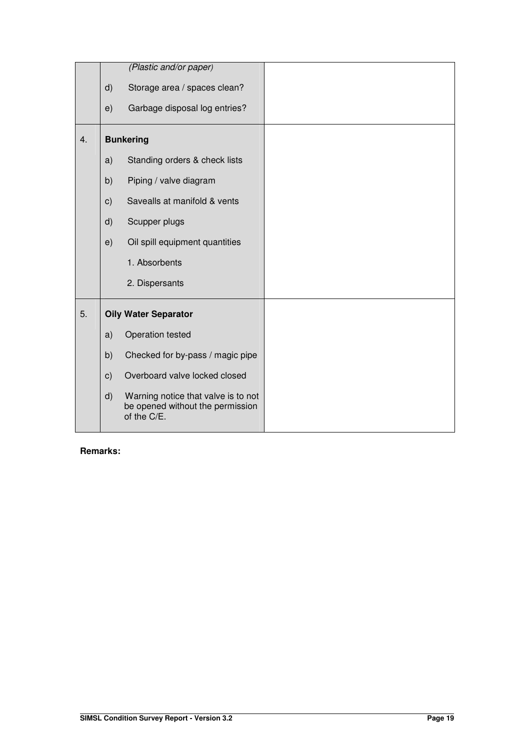|    |               | (Plastic and/or paper)                                                                 |  |
|----|---------------|----------------------------------------------------------------------------------------|--|
|    | $\mathsf{d}$  | Storage area / spaces clean?                                                           |  |
|    | e)            | Garbage disposal log entries?                                                          |  |
| 4. |               | <b>Bunkering</b>                                                                       |  |
|    | a)            | Standing orders & check lists                                                          |  |
|    | b)            | Piping / valve diagram                                                                 |  |
|    | $\mathbf{c})$ | Savealls at manifold & vents                                                           |  |
|    | d)            | Scupper plugs                                                                          |  |
|    | e)            | Oil spill equipment quantities                                                         |  |
|    |               | 1. Absorbents                                                                          |  |
|    |               | 2. Dispersants                                                                         |  |
| 5. |               | <b>Oily Water Separator</b>                                                            |  |
|    | a)            | Operation tested                                                                       |  |
|    | b)            | Checked for by-pass / magic pipe                                                       |  |
|    | c)            | Overboard valve locked closed                                                          |  |
|    | d)            | Warning notice that valve is to not<br>be opened without the permission<br>of the C/E. |  |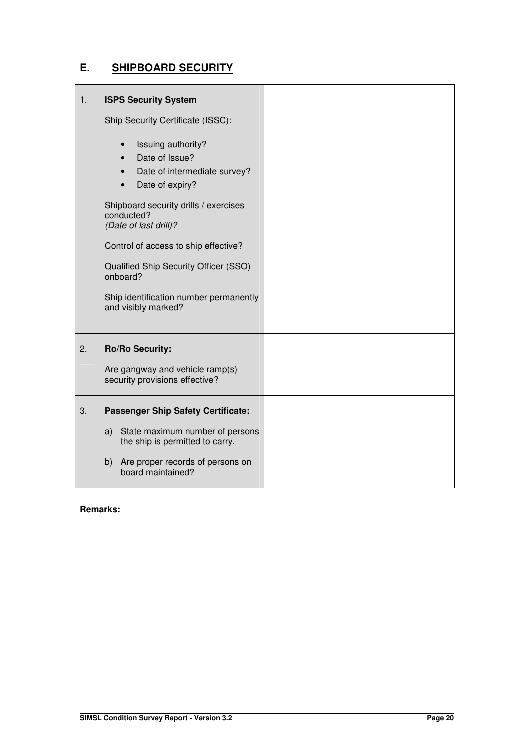## **E. SHIPBOARD SECURITY**

| 1. | <b>ISPS Security System</b>                                                                                                    |  |
|----|--------------------------------------------------------------------------------------------------------------------------------|--|
|    | Ship Security Certificate (ISSC):                                                                                              |  |
|    | Issuing authority?<br>$\bullet$<br>Date of Issue?<br>$\bullet$<br>Date of intermediate survey?<br>Date of expiry?<br>$\bullet$ |  |
|    | Shipboard security drills / exercises<br>conducted?<br>(Date of last drill)?                                                   |  |
|    | Control of access to ship effective?                                                                                           |  |
|    | Qualified Ship Security Officer (SSO)<br>onboard?                                                                              |  |
|    | Ship identification number permanently<br>and visibly marked?                                                                  |  |
| 2. | <b>Ro/Ro Security:</b>                                                                                                         |  |
|    | Are gangway and vehicle ramp(s)<br>security provisions effective?                                                              |  |
| 3. | <b>Passenger Ship Safety Certificate:</b>                                                                                      |  |
|    | State maximum number of persons<br>a)<br>the ship is permitted to carry.                                                       |  |
|    | b) Are proper records of persons on<br>board maintained?                                                                       |  |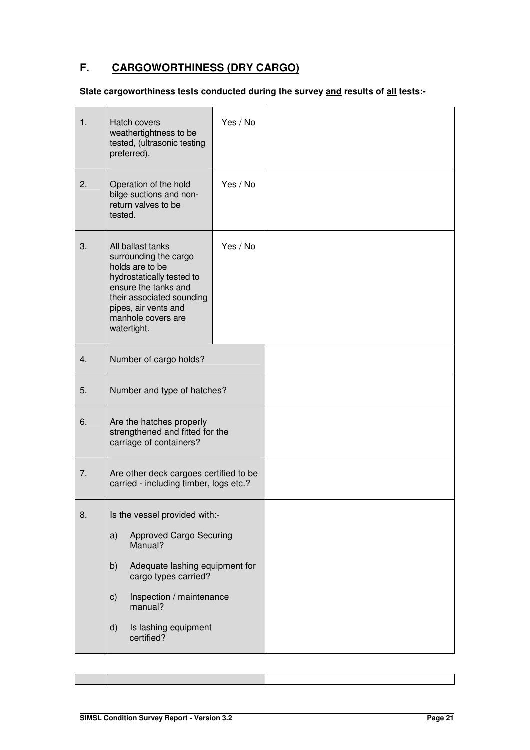## **F. CARGOWORTHINESS (DRY CARGO)**

## **State cargoworthiness tests conducted during the survey and results of all tests:-**

| 1. | Hatch covers<br>weathertightness to be<br>tested, (ultrasonic testing<br>preferred).                                                                                                                                                                           | Yes / No |  |
|----|----------------------------------------------------------------------------------------------------------------------------------------------------------------------------------------------------------------------------------------------------------------|----------|--|
| 2. | Operation of the hold<br>bilge suctions and non-<br>return valves to be<br>tested.                                                                                                                                                                             | Yes / No |  |
| 3. | All ballast tanks<br>surrounding the cargo<br>holds are to be<br>hydrostatically tested to<br>ensure the tanks and<br>their associated sounding<br>pipes, air vents and<br>manhole covers are<br>watertight.                                                   | Yes / No |  |
| 4. | Number of cargo holds?                                                                                                                                                                                                                                         |          |  |
| 5. | Number and type of hatches?                                                                                                                                                                                                                                    |          |  |
| 6. | Are the hatches properly<br>strengthened and fitted for the<br>carriage of containers?                                                                                                                                                                         |          |  |
| 7. | Are other deck cargoes certified to be<br>carried - including timber, logs etc.?                                                                                                                                                                               |          |  |
| 8. | Is the vessel provided with:-<br><b>Approved Cargo Securing</b><br>a)<br>Manual?<br>Adequate lashing equipment for<br>b)<br>cargo types carried?<br>Inspection / maintenance<br>$\mathsf{c})$<br>manual?<br>Is lashing equipment<br>$\mathsf{d}$<br>certified? |          |  |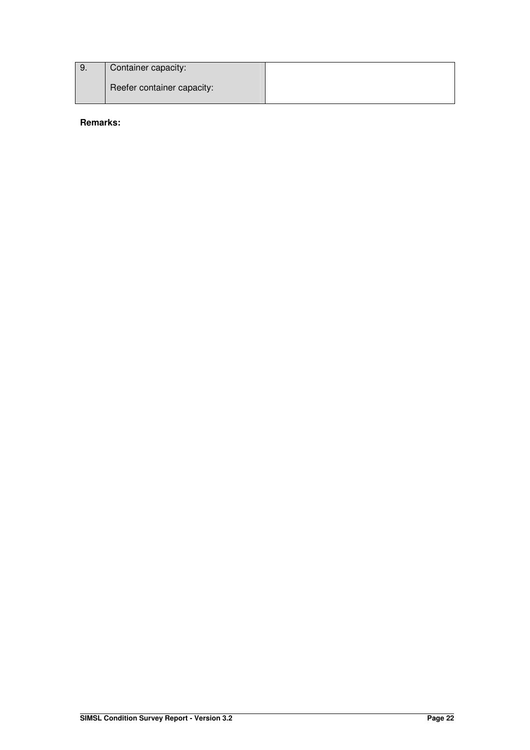| 9. | Container capacity:        |  |
|----|----------------------------|--|
|    | Reefer container capacity: |  |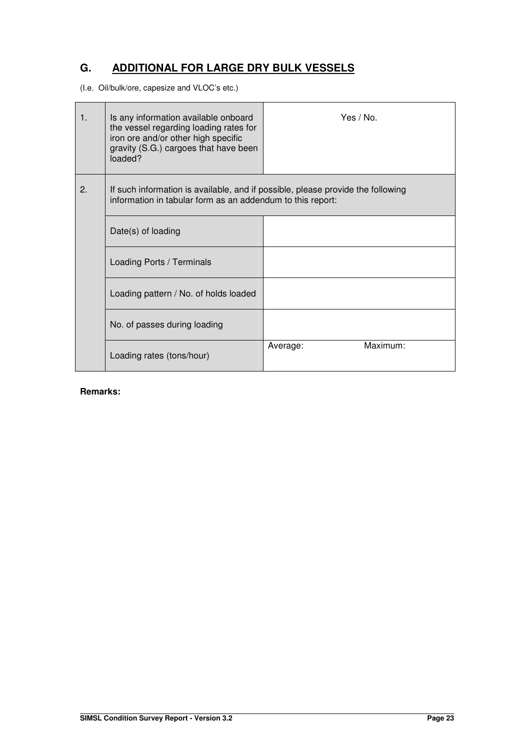## **G. ADDITIONAL FOR LARGE DRY BULK VESSELS**

(I.e. Oil/bulk/ore, capesize and VLOC's etc.)

| $\mathbf{1}$ . | Is any information available onboard<br>the vessel regarding loading rates for<br>iron ore and/or other high specific<br>gravity (S.G.) cargoes that have been<br>loaded? | Yes $/$ No.          |
|----------------|---------------------------------------------------------------------------------------------------------------------------------------------------------------------------|----------------------|
| 2.             | If such information is available, and if possible, please provide the following<br>information in tabular form as an addendum to this report:                             |                      |
|                | Date(s) of loading                                                                                                                                                        |                      |
|                | Loading Ports / Terminals                                                                                                                                                 |                      |
|                | Loading pattern / No. of holds loaded                                                                                                                                     |                      |
|                | No. of passes during loading                                                                                                                                              |                      |
|                | Loading rates (tons/hour)                                                                                                                                                 | Maximum:<br>Average: |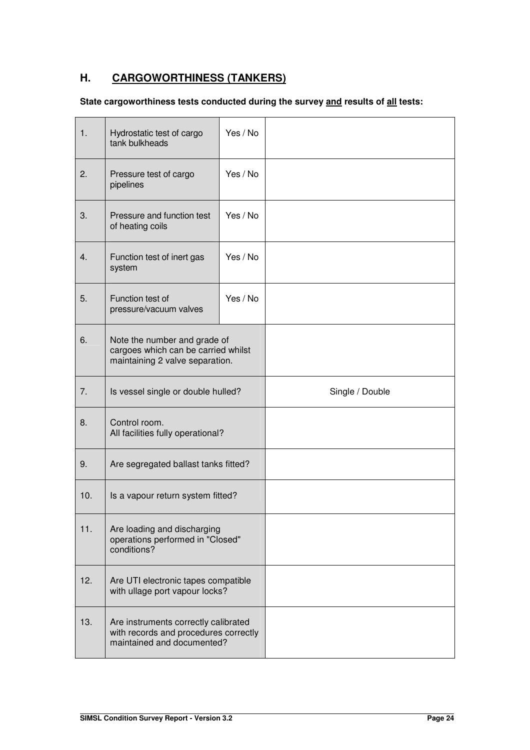## **H. CARGOWORTHINESS (TANKERS)**

## **State cargoworthiness tests conducted during the survey and results of all tests:**

| $\mathbf{1}$ .   | Yes / No<br>Hydrostatic test of cargo<br>tank bulkheads                                                     |          |                 |
|------------------|-------------------------------------------------------------------------------------------------------------|----------|-----------------|
| 2.               | Yes / No<br>Pressure test of cargo<br>pipelines                                                             |          |                 |
| 3.               | Pressure and function test<br>of heating coils                                                              | Yes / No |                 |
| $\overline{4}$ . | Function test of inert gas<br>system                                                                        | Yes / No |                 |
| 5.               | Function test of<br>pressure/vacuum valves                                                                  | Yes / No |                 |
| 6.               | Note the number and grade of<br>cargoes which can be carried whilst<br>maintaining 2 valve separation.      |          |                 |
| 7.               | Is vessel single or double hulled?                                                                          |          | Single / Double |
| 8.               | Control room.<br>All facilities fully operational?                                                          |          |                 |
| 9.               | Are segregated ballast tanks fitted?                                                                        |          |                 |
| 10.              | Is a vapour return system fitted?                                                                           |          |                 |
| 11.              | Are loading and discharging<br>operations performed in "Closed"<br>conditions?                              |          |                 |
| 12.              | Are UTI electronic tapes compatible<br>with ullage port vapour locks?                                       |          |                 |
| 13.              | Are instruments correctly calibrated<br>with records and procedures correctly<br>maintained and documented? |          |                 |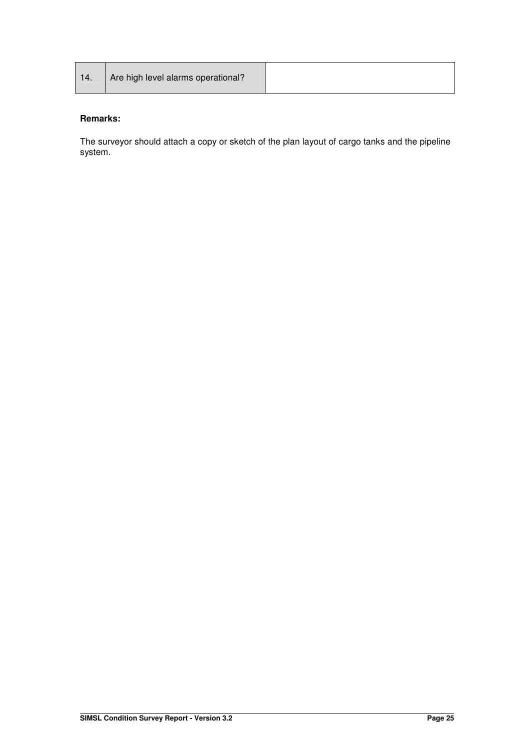| 14. | Are high level alarms operational? |  |
|-----|------------------------------------|--|
|-----|------------------------------------|--|

The surveyor should attach a copy or sketch of the plan layout of cargo tanks and the pipeline system.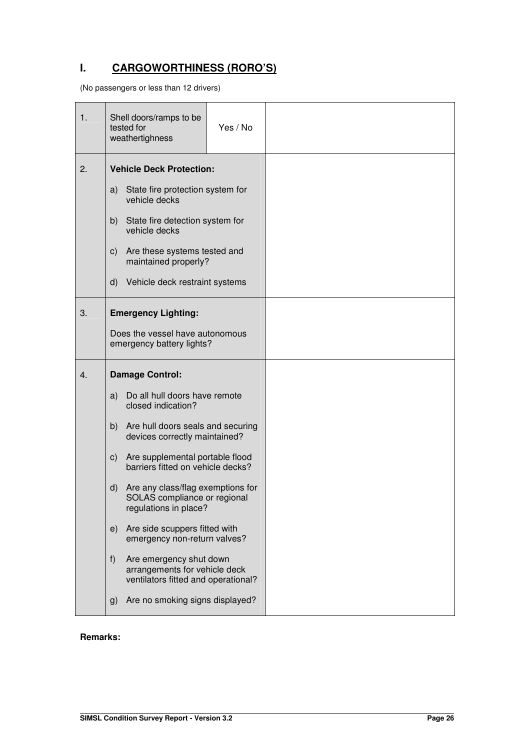## **I. CARGOWORTHINESS (RORO'S)**

(No passengers or less than 12 drivers)

| 1. | Shell doors/ramps to be<br>tested for<br>weathertighness                                                   | Yes / No |  |
|----|------------------------------------------------------------------------------------------------------------|----------|--|
| 2. | <b>Vehicle Deck Protection:</b><br>State fire protection system for<br>a)                                  |          |  |
|    | vehicle decks                                                                                              |          |  |
|    | b)<br>State fire detection system for<br>vehicle decks                                                     |          |  |
|    | Are these systems tested and<br>C)<br>maintained properly?                                                 |          |  |
|    | $\mathsf{d}$<br>Vehicle deck restraint systems                                                             |          |  |
| 3. | <b>Emergency Lighting:</b>                                                                                 |          |  |
|    | Does the vessel have autonomous<br>emergency battery lights?                                               |          |  |
| 4. | <b>Damage Control:</b>                                                                                     |          |  |
|    | Do all hull doors have remote<br>a)<br>closed indication?                                                  |          |  |
|    | Are hull doors seals and securing<br>b)<br>devices correctly maintained?                                   |          |  |
|    | Are supplemental portable flood<br>C)<br>barriers fitted on vehicle decks?                                 |          |  |
|    | $\mathsf{d}$<br>Are any class/flag exemptions for<br>SOLAS compliance or regional<br>regulations in place? |          |  |
|    | Are side scuppers fitted with<br>e)<br>emergency non-return valves?                                        |          |  |
|    | Are emergency shut down<br>f)<br>arrangements for vehicle deck                                             |          |  |
|    | ventilators fitted and operational?                                                                        |          |  |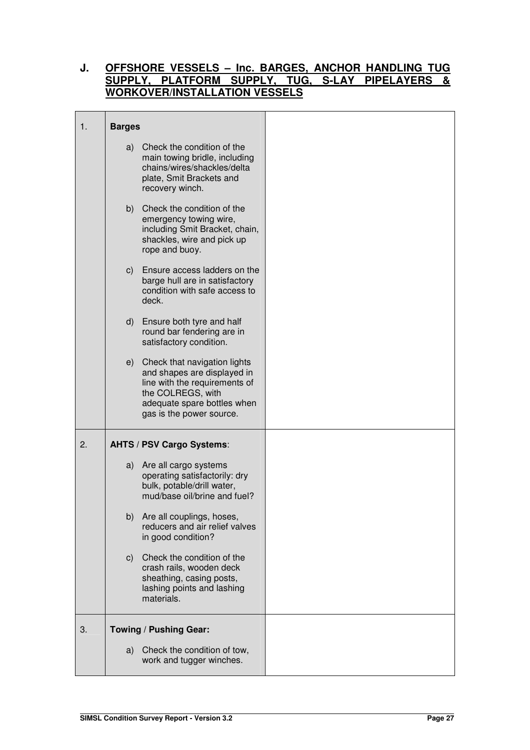## **J. OFFSHORE VESSELS – Inc. BARGES, ANCHOR HANDLING TUG SUPPLY, PLATFORM SUPPLY, TUG, S-LAY PIPELAYERS & WORKOVER/INSTALLATION VESSELS**

| 1. | <b>Barges</b> |                                                                                                                                                                                 |  |
|----|---------------|---------------------------------------------------------------------------------------------------------------------------------------------------------------------------------|--|
|    |               | a) Check the condition of the<br>main towing bridle, including<br>chains/wires/shackles/delta<br>plate, Smit Brackets and<br>recovery winch.                                    |  |
|    |               | b) Check the condition of the<br>emergency towing wire,<br>including Smit Bracket, chain,<br>shackles, wire and pick up<br>rope and buoy.                                       |  |
|    |               | c) Ensure access ladders on the<br>barge hull are in satisfactory<br>condition with safe access to<br>deck.                                                                     |  |
|    |               | d) Ensure both tyre and half<br>round bar fendering are in<br>satisfactory condition.                                                                                           |  |
|    |               | e) Check that navigation lights<br>and shapes are displayed in<br>line with the requirements of<br>the COLREGS, with<br>adequate spare bottles when<br>gas is the power source. |  |
| 2. |               | <b>AHTS / PSV Cargo Systems:</b>                                                                                                                                                |  |
|    |               | a) Are all cargo systems<br>operating satisfactorily: dry<br>bulk, potable/drill water,<br>mud/base oil/brine and fuel?                                                         |  |
|    |               | b) Are all couplings, hoses,<br>reducers and air relief valves<br>in good condition?                                                                                            |  |
|    | C)            | Check the condition of the<br>crash rails, wooden deck<br>sheathing, casing posts,<br>lashing points and lashing<br>materials.                                                  |  |
| 3. |               | Towing / Pushing Gear:                                                                                                                                                          |  |
|    |               | a) Check the condition of tow,<br>work and tugger winches.                                                                                                                      |  |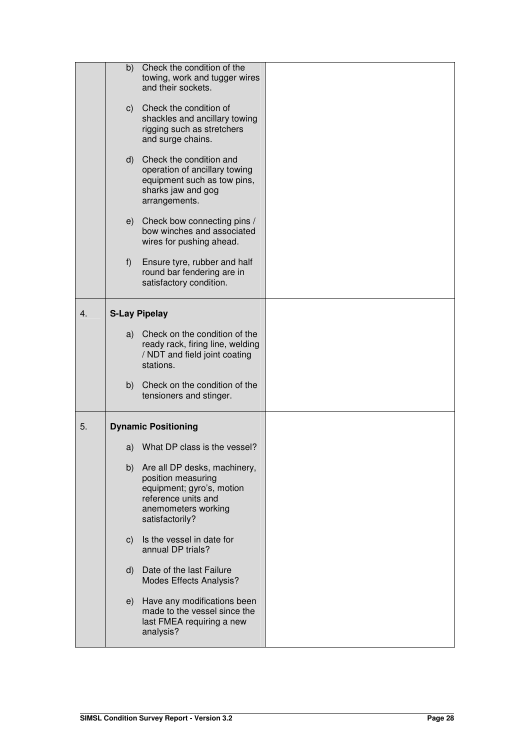|    | b)           | Check the condition of the<br>towing, work and tugger wires<br>and their sockets.<br>c) Check the condition of<br>shackles and ancillary towing<br>rigging such as stretchers<br>and surge chains. |  |
|----|--------------|----------------------------------------------------------------------------------------------------------------------------------------------------------------------------------------------------|--|
|    |              | d) Check the condition and<br>operation of ancillary towing<br>equipment such as tow pins,<br>sharks jaw and gog<br>arrangements.                                                                  |  |
|    |              | e) Check bow connecting pins /<br>bow winches and associated<br>wires for pushing ahead.                                                                                                           |  |
|    | f)           | Ensure tyre, rubber and half<br>round bar fendering are in<br>satisfactory condition.                                                                                                              |  |
| 4. |              | <b>S-Lay Pipelay</b>                                                                                                                                                                               |  |
|    |              | a) Check on the condition of the<br>ready rack, firing line, welding<br>/ NDT and field joint coating<br>stations.                                                                                 |  |
|    | b)           | Check on the condition of the<br>tensioners and stinger.                                                                                                                                           |  |
| 5. |              | <b>Dynamic Positioning</b>                                                                                                                                                                         |  |
|    |              | a) What DP class is the vessel?                                                                                                                                                                    |  |
|    |              | b) Are all DP desks, machinery,<br>position measuring<br>equipment; gyro's, motion<br>reference units and<br>anemometers working<br>satisfactorily?                                                |  |
|    | $\mathsf{C}$ | Is the vessel in date for<br>annual DP trials?                                                                                                                                                     |  |
|    | $\mathsf{d}$ | Date of the last Failure<br>Modes Effects Analysis?                                                                                                                                                |  |
|    | e)           | Have any modifications been<br>made to the vessel since the<br>last FMEA requiring a new<br>analysis?                                                                                              |  |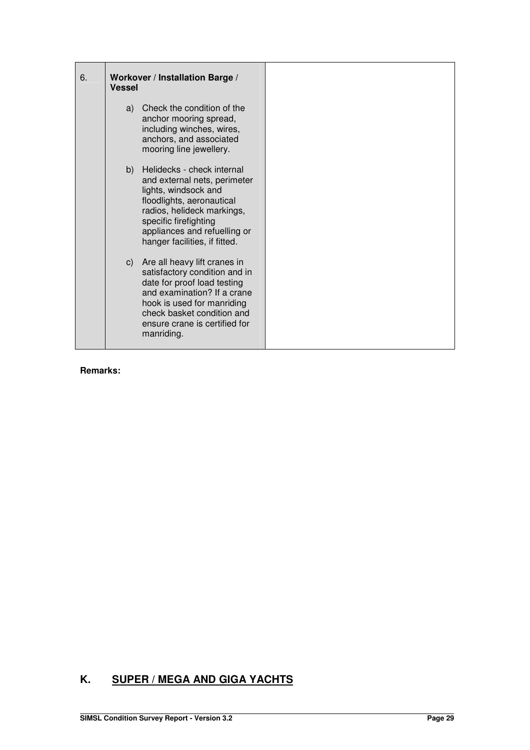| 6. | Workover / Installation Barge /<br><b>Vessel</b>                                                                                                                                                                                           |  |
|----|--------------------------------------------------------------------------------------------------------------------------------------------------------------------------------------------------------------------------------------------|--|
|    | a) Check the condition of the<br>anchor mooring spread,<br>including winches, wires,<br>anchors, and associated<br>mooring line jewellery.                                                                                                 |  |
|    | b) Helidecks - check internal<br>and external nets, perimeter<br>lights, windsock and<br>floodlights, aeronautical<br>radios, helideck markings,<br>specific firefighting<br>appliances and refuelling or<br>hanger facilities, if fitted. |  |
|    | c) Are all heavy lift cranes in<br>satisfactory condition and in<br>date for proof load testing<br>and examination? If a crane<br>hook is used for manriding<br>check basket condition and<br>ensure crane is certified for<br>manriding.  |  |

## **K. SUPER / MEGA AND GIGA YACHTS**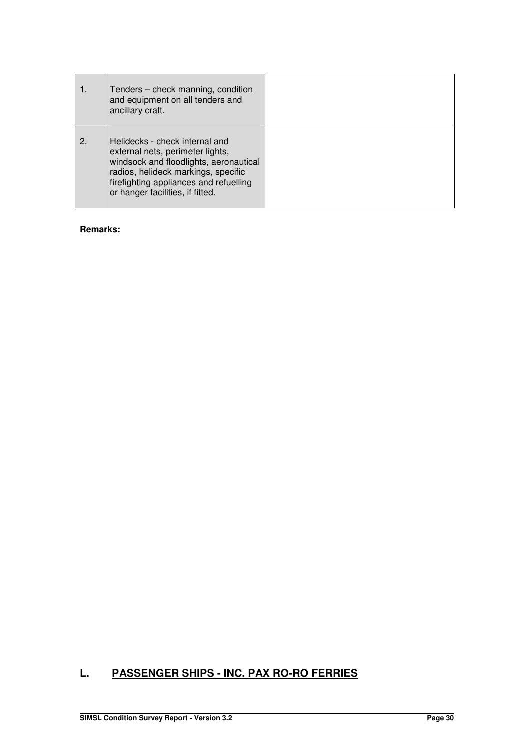|    | Tenders – check manning, condition<br>and equipment on all tenders and<br>ancillary craft.                                                                                                                                        |  |
|----|-----------------------------------------------------------------------------------------------------------------------------------------------------------------------------------------------------------------------------------|--|
| 2. | Helidecks - check internal and<br>external nets, perimeter lights,<br>windsock and floodlights, aeronautical<br>radios, helideck markings, specific<br>firefighting appliances and refuelling<br>or hanger facilities, if fitted. |  |

## **L. PASSENGER SHIPS - INC. PAX RO-RO FERRIES**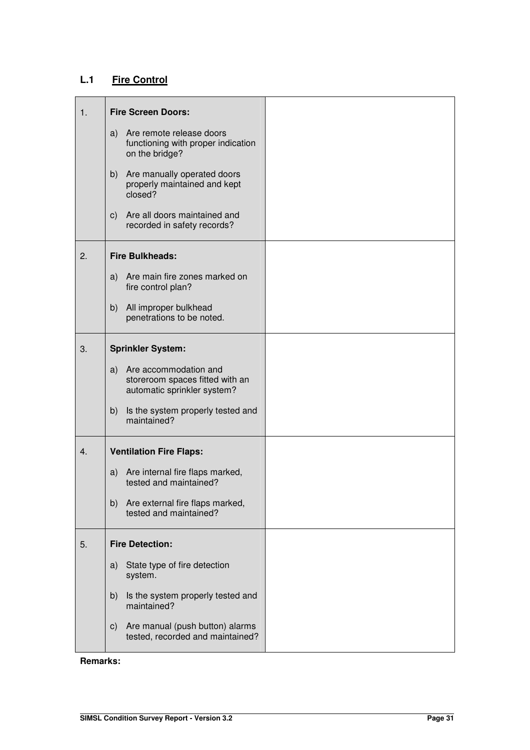## **L.1 Fire Control**

| 1. | <b>Fire Screen Doors:</b>                                                                     |  |
|----|-----------------------------------------------------------------------------------------------|--|
|    | Are remote release doors<br>a)<br>functioning with proper indication<br>on the bridge?        |  |
|    | Are manually operated doors<br>b)<br>properly maintained and kept<br>closed?                  |  |
|    | Are all doors maintained and<br>C)<br>recorded in safety records?                             |  |
| 2. | <b>Fire Bulkheads:</b>                                                                        |  |
|    | a) Are main fire zones marked on<br>fire control plan?                                        |  |
|    | All improper bulkhead<br>b)<br>penetrations to be noted.                                      |  |
| 3. | <b>Sprinkler System:</b>                                                                      |  |
|    | Are accommodation and<br>a)<br>storeroom spaces fitted with an<br>automatic sprinkler system? |  |
|    | Is the system properly tested and<br>b)<br>maintained?                                        |  |
| 4. | <b>Ventilation Fire Flaps:</b>                                                                |  |
|    | Are internal fire flaps marked,<br>a)<br>tested and maintained?                               |  |
|    | b)<br>Are external fire flaps marked,<br>tested and maintained?                               |  |
| 5. | <b>Fire Detection:</b>                                                                        |  |
|    | State type of fire detection<br>a)<br>system.                                                 |  |
|    | b)<br>Is the system properly tested and<br>maintained?                                        |  |
|    | Are manual (push button) alarms<br>C)<br>tested, recorded and maintained?                     |  |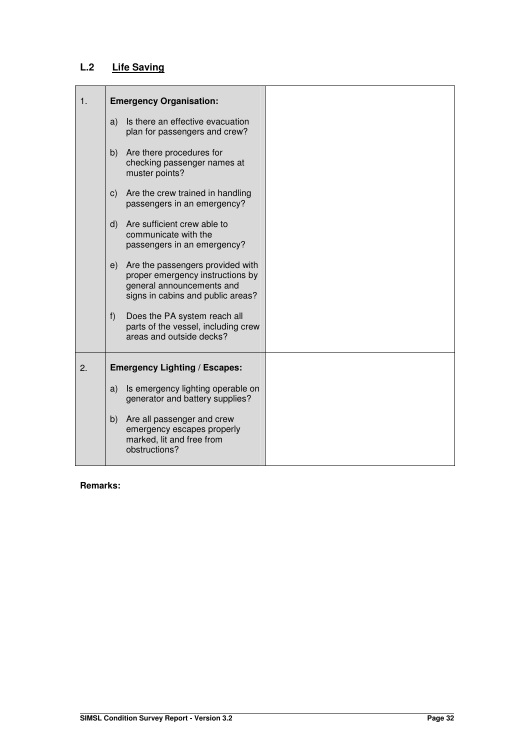## **L.2 Life Saving**

| 1. | <b>Emergency Organisation:</b>                                                                                                               |  |
|----|----------------------------------------------------------------------------------------------------------------------------------------------|--|
|    | Is there an effective evacuation<br>a)<br>plan for passengers and crew?                                                                      |  |
|    | Are there procedures for<br>b)<br>checking passenger names at<br>muster points?                                                              |  |
|    | Are the crew trained in handling<br>C)<br>passengers in an emergency?                                                                        |  |
|    | Are sufficient crew able to<br>d)<br>communicate with the<br>passengers in an emergency?                                                     |  |
|    | Are the passengers provided with<br>e)<br>proper emergency instructions by<br>general announcements and<br>signs in cabins and public areas? |  |
|    | Does the PA system reach all<br>f)<br>parts of the vessel, including crew<br>areas and outside decks?                                        |  |
| 2. | <b>Emergency Lighting / Escapes:</b>                                                                                                         |  |
|    | Is emergency lighting operable on<br>a)<br>generator and battery supplies?                                                                   |  |
|    | b) Are all passenger and crew<br>emergency escapes properly<br>marked, lit and free from<br>obstructions?                                    |  |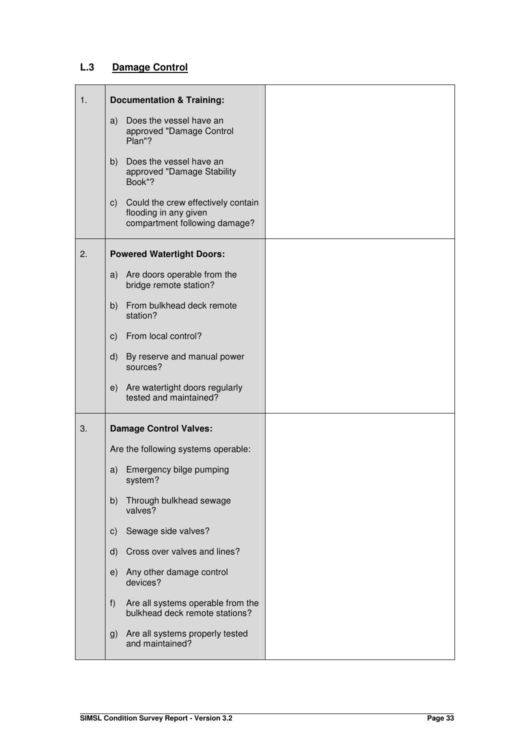## **L.3 Damage Control**

| 1. | <b>Documentation &amp; Training:</b>                                                                          |  |
|----|---------------------------------------------------------------------------------------------------------------|--|
|    | a) Does the vessel have an<br>approved "Damage Control<br>Plan"?                                              |  |
|    | Does the vessel have an<br>b)<br>approved "Damage Stability<br>Book"?                                         |  |
|    | Could the crew effectively contain<br>$\mathsf{c})$<br>flooding in any given<br>compartment following damage? |  |
| 2. | <b>Powered Watertight Doors:</b>                                                                              |  |
|    | Are doors operable from the<br>a)<br>bridge remote station?                                                   |  |
|    | From bulkhead deck remote<br>b)<br>station?                                                                   |  |
|    | From local control?<br>c)                                                                                     |  |
|    | By reserve and manual power<br>d)<br>sources?                                                                 |  |
|    | Are watertight doors regularly<br>e)<br>tested and maintained?                                                |  |
| 3. | <b>Damage Control Valves:</b>                                                                                 |  |
|    | Are the following systems operable:                                                                           |  |
|    | Emergency bilge pumping<br>a)<br>system?                                                                      |  |
|    | Through bulkhead sewage<br>b)<br>valves?                                                                      |  |
|    | Sewage side valves?<br>$\mathsf{c})$                                                                          |  |
|    | Cross over valves and lines?<br>d)                                                                            |  |
|    | Any other damage control<br>e)<br>devices?                                                                    |  |
|    | Are all systems operable from the<br>f)<br>bulkhead deck remote stations?                                     |  |
|    | Are all systems properly tested<br>g)<br>and maintained?                                                      |  |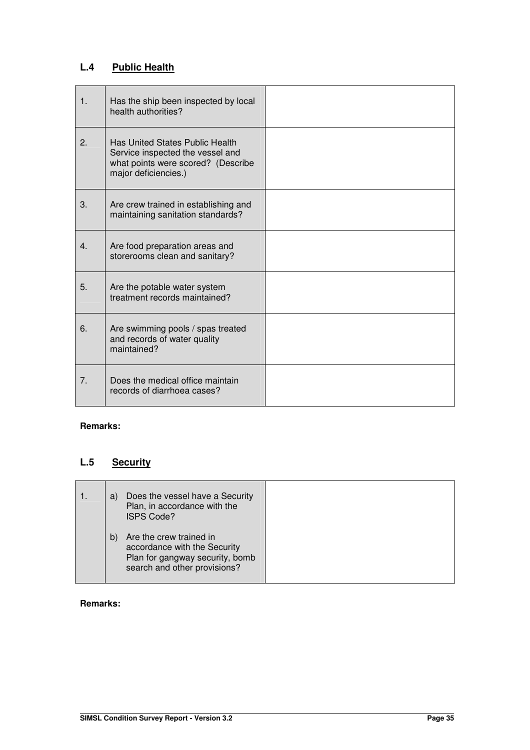## **L.4 Public Health**

| 1.             | Has the ship been inspected by local<br>health authorities?                                                                       |  |
|----------------|-----------------------------------------------------------------------------------------------------------------------------------|--|
| 2.             | Has United States Public Health<br>Service inspected the vessel and<br>what points were scored? (Describe<br>major deficiencies.) |  |
| 3.             | Are crew trained in establishing and<br>maintaining sanitation standards?                                                         |  |
| 4.             | Are food preparation areas and<br>storerooms clean and sanitary?                                                                  |  |
| 5.             | Are the potable water system<br>treatment records maintained?                                                                     |  |
| 6.             | Are swimming pools / spas treated<br>and records of water quality<br>maintained?                                                  |  |
| 7 <sub>1</sub> | Does the medical office maintain<br>records of diarrhoea cases?                                                                   |  |

## **Remarks:**

## **L.5 Security**

| Does the vessel have a Security<br>a)<br>Plan, in accordance with the<br><b>ISPS Code?</b>                                       |  |
|----------------------------------------------------------------------------------------------------------------------------------|--|
| Are the crew trained in<br>b)<br>accordance with the Security<br>Plan for gangway security, bomb<br>search and other provisions? |  |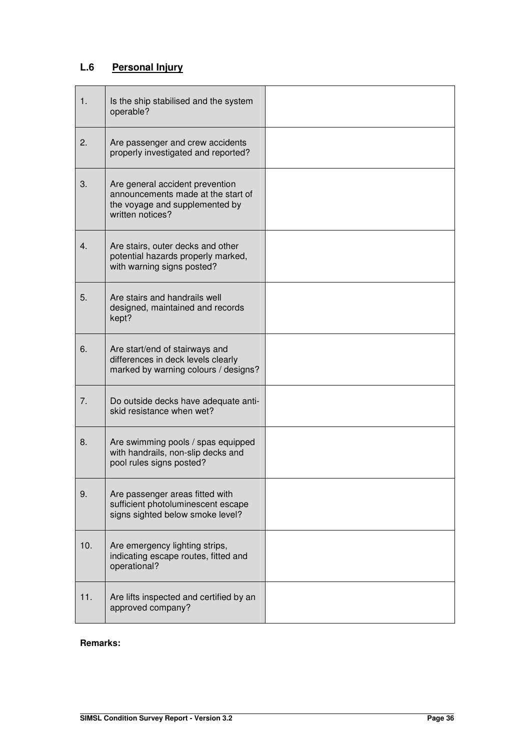## **L.6 Personal Injury**

| 1.      | Is the ship stabilised and the system<br>operable?                                                                          |  |
|---------|-----------------------------------------------------------------------------------------------------------------------------|--|
| 2.      | Are passenger and crew accidents<br>properly investigated and reported?                                                     |  |
| 3.      | Are general accident prevention<br>announcements made at the start of<br>the voyage and supplemented by<br>written notices? |  |
| $4_{-}$ | Are stairs, outer decks and other<br>potential hazards properly marked,<br>with warning signs posted?                       |  |
| 5.      | Are stairs and handrails well<br>designed, maintained and records<br>kept?                                                  |  |
| 6.      | Are start/end of stairways and<br>differences in deck levels clearly<br>marked by warning colours / designs?                |  |
| 7.      | Do outside decks have adequate anti-<br>skid resistance when wet?                                                           |  |
| 8.      | Are swimming pools / spas equipped<br>with handrails, non-slip decks and<br>pool rules signs posted?                        |  |
| 9.      | Are passenger areas fitted with<br>sufficient photoluminescent escape<br>signs sighted below smoke level?                   |  |
| 10.     | Are emergency lighting strips,<br>indicating escape routes, fitted and<br>operational?                                      |  |
| 11.     | Are lifts inspected and certified by an<br>approved company?                                                                |  |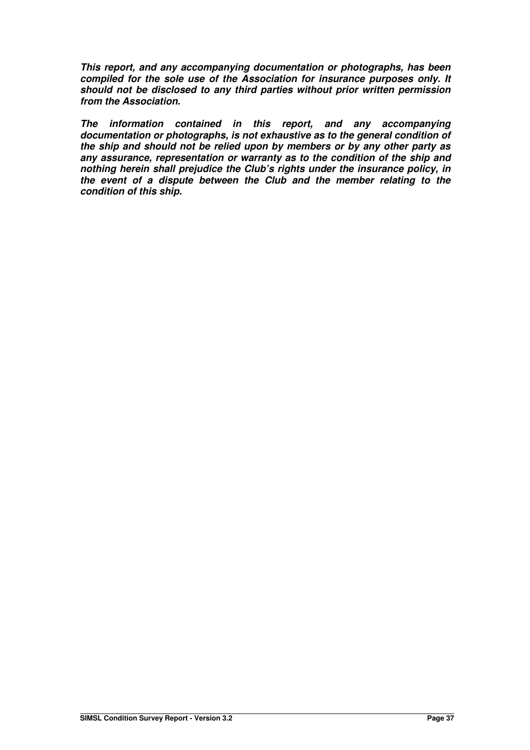**This report, and any accompanying documentation or photographs, has been compiled for the sole use of the Association for insurance purposes only. It should not be disclosed to any third parties without prior written permission from the Association.** 

**The information contained in this report, and any accompanying documentation or photographs, is not exhaustive as to the general condition of the ship and should not be relied upon by members or by any other party as any assurance, representation or warranty as to the condition of the ship and nothing herein shall prejudice the Club's rights under the insurance policy, in the event of a dispute between the Club and the member relating to the condition of this ship.**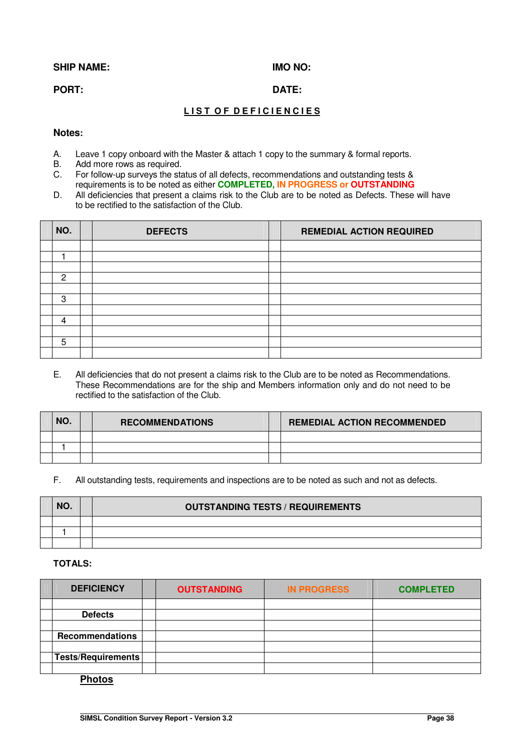#### SHIP NAME: **IMO NO:**

#### **PORT:** DATE:

## **LIST OF DEFICIENCIES**

#### **Notes:**

- A. Leave 1 copy onboard with the Master & attach 1 copy to the summary & formal reports.
- B. Add more rows as required.
- C. For follow-up surveys the status of all defects, recommendations and outstanding tests & requirements is to be noted as either **COMPLETED, IN PROGRESS or OUTSTANDING**
- D. All deficiencies that present a claims risk to the Club are to be noted as Defects. These will have to be rectified to the satisfaction of the Club.

| NO.           | <b>DEFECTS</b> | <b>REMEDIAL ACTION REQUIRED</b> |  |
|---------------|----------------|---------------------------------|--|
|               |                |                                 |  |
|               |                |                                 |  |
|               |                |                                 |  |
| $\mathcal{P}$ |                |                                 |  |
|               |                |                                 |  |
| 3             |                |                                 |  |
|               |                |                                 |  |
| 4             |                |                                 |  |
|               |                |                                 |  |
| 5             |                |                                 |  |
|               |                |                                 |  |

E. All deficiencies that do not present a claims risk to the Club are to be noted as Recommendations. These Recommendations are for the ship and Members information only and do not need to be rectified to the satisfaction of the Club.

| NO. | <b>RECOMMENDATIONS</b> | <b>REMEDIAL ACTION RECOMMENDED</b> |
|-----|------------------------|------------------------------------|
|     |                        |                                    |
|     |                        |                                    |
|     |                        |                                    |

#### F. All outstanding tests, requirements and inspections are to be noted as such and not as defects.

| NO. | <b>OUTSTANDING TESTS / REQUIREMENTS</b> |
|-----|-----------------------------------------|
|     |                                         |
|     |                                         |
|     |                                         |

### **TOTALS:**

| <b>DEFICIENCY</b>      | <b>OUTSTANDING</b> | <b>IN PROGRESS</b> | <b>COMPLETED</b> |
|------------------------|--------------------|--------------------|------------------|
|                        |                    |                    |                  |
| <b>Defects</b>         |                    |                    |                  |
|                        |                    |                    |                  |
| <b>Recommendations</b> |                    |                    |                  |
|                        |                    |                    |                  |
| Tests/Requirements     |                    |                    |                  |
|                        |                    |                    |                  |

#### **Photos**